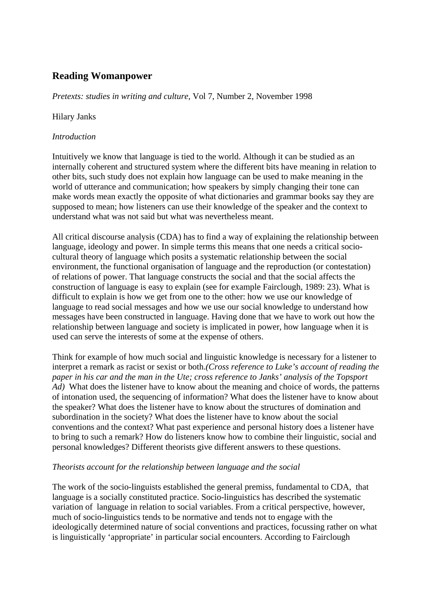# **Reading Womanpower**

*Pretexts: studies in writing and culture*, Vol 7, Number 2, November 1998

### Hilary Janks

### *Introduction*

Intuitively we know that language is tied to the world. Although it can be studied as an internally coherent and structured system where the different bits have meaning in relation to other bits, such study does not explain how language can be used to make meaning in the world of utterance and communication; how speakers by simply changing their tone can make words mean exactly the opposite of what dictionaries and grammar books say they are supposed to mean; how listeners can use their knowledge of the speaker and the context to understand what was not said but what was nevertheless meant.

All critical discourse analysis (CDA) has to find a way of explaining the relationship between language, ideology and power. In simple terms this means that one needs a critical sociocultural theory of language which posits a systematic relationship between the social environment, the functional organisation of language and the reproduction (or contestation) of relations of power. That language constructs the social and that the social affects the construction of language is easy to explain (see for example Fairclough, 1989: 23). What is difficult to explain is how we get from one to the other: how we use our knowledge of language to read social messages and how we use our social knowledge to understand how messages have been constructed in language. Having done that we have to work out how the relationship between language and society is implicated in power, how language when it is used can serve the interests of some at the expense of others.

Think for example of how much social and linguistic knowledge is necessary for a listener to interpret a remark as racist or sexist or both.*(Cross reference to Luke's account of reading the paper in his car and the man in the Ute; cross reference to Janks' analysis of the Topsport Ad*) What does the listener have to know about the meaning and choice of words, the patterns of intonation used, the sequencing of information? What does the listener have to know about the speaker? What does the listener have to know about the structures of domination and subordination in the society? What does the listener have to know about the social conventions and the context? What past experience and personal history does a listener have to bring to such a remark? How do listeners know how to combine their linguistic, social and personal knowledges? Different theorists give different answers to these questions.

## *Theorists account for the relationship between language and the social*

The work of the socio-linguists established the general premiss, fundamental to CDA, that language is a socially constituted practice. Socio-linguistics has described the systematic variation of language in relation to social variables. From a critical perspective, however, much of socio-linguistics tends to be normative and tends not to engage with the ideologically determined nature of social conventions and practices, focussing rather on what is linguistically 'appropriate' in particular social encounters. According to Fairclough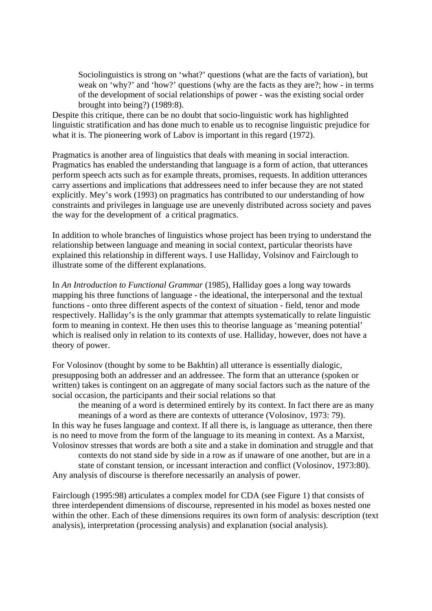Sociolinguistics is strong on 'what?' questions (what are the facts of variation), but weak on 'why?' and 'how?' questions (why are the facts as they are?; how - in terms of the development of social relationships of power - was the existing social order brought into being?) (1989:8).

Despite this critique, there can be no doubt that socio-linguistic work has highlighted linguistic stratification and has done much to enable us to recognise linguistic prejudice for what it is. The pioneering work of Labov is important in this regard (1972).

Pragmatics is another area of linguistics that deals with meaning in social interaction. Pragmatics has enabled the understanding that language is a form of action, that utterances perform speech acts such as for example threats, promises, requests. In addition utterances carry assertions and implications that addressees need to infer because they are not stated explicitly. Mey's work (1993) on pragmatics has contributed to our understanding of how constraints and privileges in language use are unevenly distributed across society and paves the way for the development of a critical pragmatics.

In addition to whole branches of linguistics whose project has been trying to understand the relationship between language and meaning in social context, particular theorists have explained this relationship in different ways. I use Halliday, Volsinov and Fairclough to illustrate some of the different explanations.

In *An Introduction to Functional Grammar* (1985), Halliday goes a long way towards mapping his three functions of language - the ideational, the interpersonal and the textual functions - onto three different aspects of the context of situation - field, tenor and mode respectively. Halliday's is the only grammar that attempts systematically to relate linguistic form to meaning in context. He then uses this to theorise language as 'meaning potential' which is realised only in relation to its contexts of use. Halliday, however, does not have a theory of power.

For Volosinov (thought by some to be Bakhtin) all utterance is essentially dialogic, presupposing both an addresser and an addressee. The form that an utterance (spoken or written) takes is contingent on an aggregate of many social factors such as the nature of the social occasion, the participants and their social relations so that

the meaning of a word is determined entirely by its context. In fact there are as many meanings of a word as there are contexts of utterance (Volosinov, 1973: 79).

In this way he fuses language and context. If all there is, is language as utterance, then there is no need to move from the form of the language to its meaning in context. As a Marxist, Volosinov stresses that words are both a site and a stake in domination and struggle and that

contexts do not stand side by side in a row as if unaware of one another, but are in a state of constant tension, or incessant interaction and conflict (Volosinov, 1973:80). Any analysis of discourse is therefore necessarily an analysis of power.

Fairclough (1995:98) articulates a complex model for CDA (see Figure 1) that consists of three interdependent dimensions of discourse, represented in his model as boxes nested one within the other. Each of these dimensions requires its own form of analysis: description (text analysis), interpretation (processing analysis) and explanation (social analysis).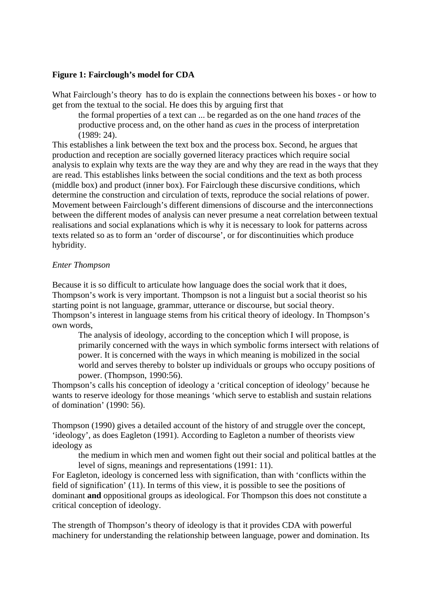### **Figure 1: Fairclough's model for CDA**

What Fairclough's theory has to do is explain the connections between his boxes - or how to get from the textual to the social. He does this by arguing first that

the formal properties of a text can ... be regarded as on the one hand *traces* of the productive process and, on the other hand as *cues* in the process of interpretation (1989: 24).

This establishes a link between the text box and the process box. Second, he argues that production and reception are socially governed literacy practices which require social analysis to explain why texts are the way they are and why they are read in the ways that they are read. This establishes links between the social conditions and the text as both process (middle box) and product (inner box). For Fairclough these discursive conditions, which determine the construction and circulation of texts, reproduce the social relations of power. Movement between Fairclough's different dimensions of discourse and the interconnections between the different modes of analysis can never presume a neat correlation between textual realisations and social explanations which is why it is necessary to look for patterns across texts related so as to form an 'order of discourse', or for discontinuities which produce hybridity.

### *Enter Thompson*

Because it is so difficult to articulate how language does the social work that it does, Thompson's work is very important. Thompson is not a linguist but a social theorist so his starting point is not language, grammar, utterance or discourse, but social theory. Thompson's interest in language stems from his critical theory of ideology. In Thompson's own words,

The analysis of ideology, according to the conception which I will propose, is primarily concerned with the ways in which symbolic forms intersect with relations of power. It is concerned with the ways in which meaning is mobilized in the social world and serves thereby to bolster up individuals or groups who occupy positions of power. (Thompson, 1990:56).

Thompson's calls his conception of ideology a 'critical conception of ideology' because he wants to reserve ideology for those meanings 'which serve to establish and sustain relations of domination' (1990: 56).

Thompson (1990) gives a detailed account of the history of and struggle over the concept, 'ideology', as does Eagleton (1991). According to Eagleton a number of theorists view ideology as

the medium in which men and women fight out their social and political battles at the level of signs, meanings and representations (1991: 11).

For Eagleton, ideology is concerned less with signification, than with 'conflicts within the field of signification' (11). In terms of this view, it is possible to see the positions of dominant **and** oppositional groups as ideological. For Thompson this does not constitute a critical conception of ideology.

The strength of Thompson's theory of ideology is that it provides CDA with powerful machinery for understanding the relationship between language, power and domination. Its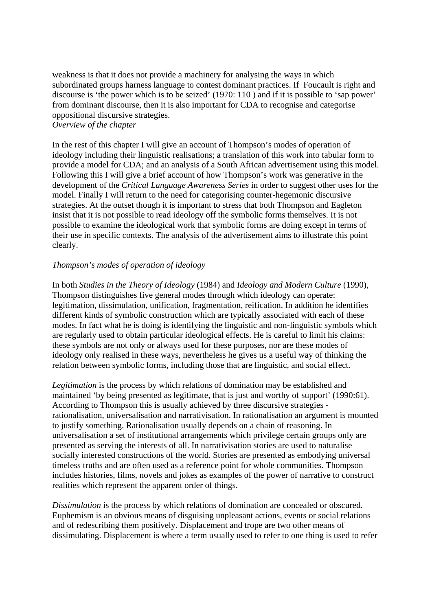weakness is that it does not provide a machinery for analysing the ways in which subordinated groups harness language to contest dominant practices. If Foucault is right and discourse is 'the power which is to be seized' (1970: 110 ) and if it is possible to 'sap power' from dominant discourse, then it is also important for CDA to recognise and categorise oppositional discursive strategies.

*Overview of the chapter*

In the rest of this chapter I will give an account of Thompson's modes of operation of ideology including their linguistic realisations; a translation of this work into tabular form to provide a model for CDA; and an analysis of a South African advertisement using this model. Following this I will give a brief account of how Thompson's work was generative in the development of the *Critical Language Awareness Series* in order to suggest other uses for the model. Finally I will return to the need for categorising counter-hegemonic discursive strategies. At the outset though it is important to stress that both Thompson and Eagleton insist that it is not possible to read ideology off the symbolic forms themselves. It is not possible to examine the ideological work that symbolic forms are doing except in terms of their use in specific contexts. The analysis of the advertisement aims to illustrate this point clearly.

## *Thompson's modes of operation of ideology*

In both *Studies in the Theory of Ideology* (1984) and *Ideology and Modern Culture* (1990), Thompson distinguishes five general modes through which ideology can operate: legitimation, dissimulation, unification, fragmentation, reification. In addition he identifies different kinds of symbolic construction which are typically associated with each of these modes. In fact what he is doing is identifying the linguistic and non-linguistic symbols which are regularly used to obtain particular ideological effects. He is careful to limit his claims: these symbols are not only or always used for these purposes, nor are these modes of ideology only realised in these ways, nevertheless he gives us a useful way of thinking the relation between symbolic forms, including those that are linguistic, and social effect.

*Legitimation* is the process by which relations of domination may be established and maintained 'by being presented as legitimate, that is just and worthy of support' (1990:61). According to Thompson this is usually achieved by three discursive strategies rationalisation, universalisation and narrativisation. In rationalisation an argument is mounted to justify something. Rationalisation usually depends on a chain of reasoning. In universalisation a set of institutional arrangements which privilege certain groups only are presented as serving the interests of all. In narrativisation stories are used to naturalise socially interested constructions of the world. Stories are presented as embodying universal timeless truths and are often used as a reference point for whole communities. Thompson includes histories, films, novels and jokes as examples of the power of narrative to construct realities which represent the apparent order of things.

*Dissimulation* is the process by which relations of domination are concealed or obscured. Euphemism is an obvious means of disguising unpleasant actions, events or social relations and of redescribing them positively. Displacement and trope are two other means of dissimulating. Displacement is where a term usually used to refer to one thing is used to refer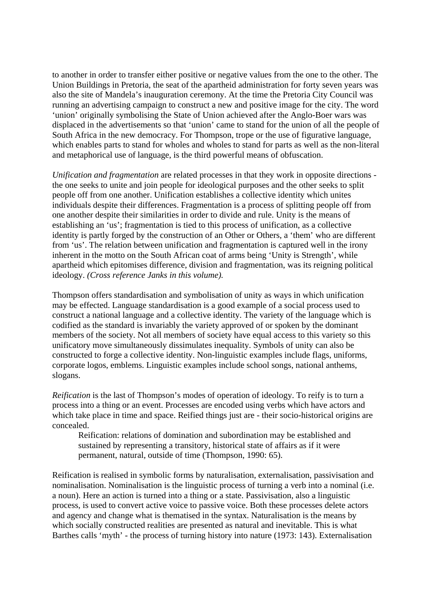to another in order to transfer either positive or negative values from the one to the other. The Union Buildings in Pretoria, the seat of the apartheid administration for forty seven years was also the site of Mandela's inauguration ceremony. At the time the Pretoria City Council was running an advertising campaign to construct a new and positive image for the city. The word 'union' originally symbolising the State of Union achieved after the Anglo-Boer wars was displaced in the advertisements so that 'union' came to stand for the union of all the people of South Africa in the new democracy. For Thompson, trope or the use of figurative language, which enables parts to stand for wholes and wholes to stand for parts as well as the non-literal and metaphorical use of language, is the third powerful means of obfuscation.

*Unification and fragmentation* are related processes in that they work in opposite directions the one seeks to unite and join people for ideological purposes and the other seeks to split people off from one another. Unification establishes a collective identity which unites individuals despite their differences. Fragmentation is a process of splitting people off from one another despite their similarities in order to divide and rule. Unity is the means of establishing an 'us'; fragmentation is tied to this process of unification, as a collective identity is partly forged by the construction of an Other or Others, a 'them' who are different from 'us'. The relation between unification and fragmentation is captured well in the irony inherent in the motto on the South African coat of arms being 'Unity is Strength', while apartheid which epitomises difference, division and fragmentation, was its reigning political ideology. *(Cross reference Janks in this volume).* 

Thompson offers standardisation and symbolisation of unity as ways in which unification may be effected. Language standardisation is a good example of a social process used to construct a national language and a collective identity. The variety of the language which is codified as the standard is invariably the variety approved of or spoken by the dominant members of the society. Not all members of society have equal access to this variety so this unificatory move simultaneously dissimulates inequality. Symbols of unity can also be constructed to forge a collective identity. Non-linguistic examples include flags, uniforms, corporate logos, emblems. Linguistic examples include school songs, national anthems, slogans.

*Reification* is the last of Thompson's modes of operation of ideology. To reify is to turn a process into a thing or an event. Processes are encoded using verbs which have actors and which take place in time and space. Reified things just are - their socio-historical origins are concealed.

Reification: relations of domination and subordination may be established and sustained by representing a transitory, historical state of affairs as if it were permanent, natural, outside of time (Thompson, 1990: 65).

Reification is realised in symbolic forms by naturalisation, externalisation, passivisation and nominalisation. Nominalisation is the linguistic process of turning a verb into a nominal (i.e. a noun). Here an action is turned into a thing or a state. Passivisation, also a linguistic process, is used to convert active voice to passive voice. Both these processes delete actors and agency and change what is thematised in the syntax. Naturalisation is the means by which socially constructed realities are presented as natural and inevitable. This is what Barthes calls 'myth' - the process of turning history into nature (1973: 143). Externalisation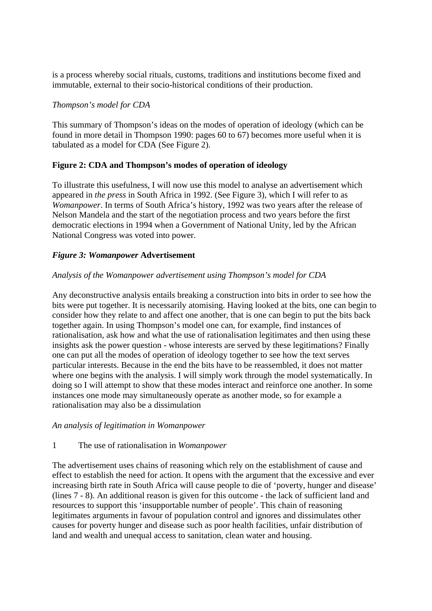is a process whereby social rituals, customs, traditions and institutions become fixed and immutable, external to their socio-historical conditions of their production.

### *Thompson's model for CDA*

This summary of Thompson's ideas on the modes of operation of ideology (which can be found in more detail in Thompson 1990: pages 60 to 67) becomes more useful when it is tabulated as a model for CDA (See Figure 2).

### **Figure 2: CDA and Thompson's modes of operation of ideology**

To illustrate this usefulness, I will now use this model to analyse an advertisement which appeared in *the press* in South Africa in 1992. (See Figure 3), which I will refer to as *Womanpower*. In terms of South Africa's history, 1992 was two years after the release of Nelson Mandela and the start of the negotiation process and two years before the first democratic elections in 1994 when a Government of National Unity, led by the African National Congress was voted into power.

### *Figure 3: Womanpower* **Advertisement**

### *Analysis of the Womanpower advertisement using Thompson's model for CDA*

Any deconstructive analysis entails breaking a construction into bits in order to see how the bits were put together. It is necessarily atomising. Having looked at the bits, one can begin to consider how they relate to and affect one another, that is one can begin to put the bits back together again. In using Thompson's model one can, for example, find instances of rationalisation, ask how and what the use of rationalisation legitimates and then using these insights ask the power question - whose interests are served by these legitimations? Finally one can put all the modes of operation of ideology together to see how the text serves particular interests. Because in the end the bits have to be reassembled, it does not matter where one begins with the analysis. I will simply work through the model systematically. In doing so I will attempt to show that these modes interact and reinforce one another. In some instances one mode may simultaneously operate as another mode, so for example a rationalisation may also be a dissimulation

### *An analysis of legitimation in Womanpower*

### 1 The use of rationalisation in *Womanpower*

The advertisement uses chains of reasoning which rely on the establishment of cause and effect to establish the need for action. It opens with the argument that the excessive and ever increasing birth rate in South Africa will cause people to die of 'poverty, hunger and disease' (lines 7 - 8). An additional reason is given for this outcome - the lack of sufficient land and resources to support this 'insupportable number of people'. This chain of reasoning legitimates arguments in favour of population control and ignores and dissimulates other causes for poverty hunger and disease such as poor health facilities, unfair distribution of land and wealth and unequal access to sanitation, clean water and housing.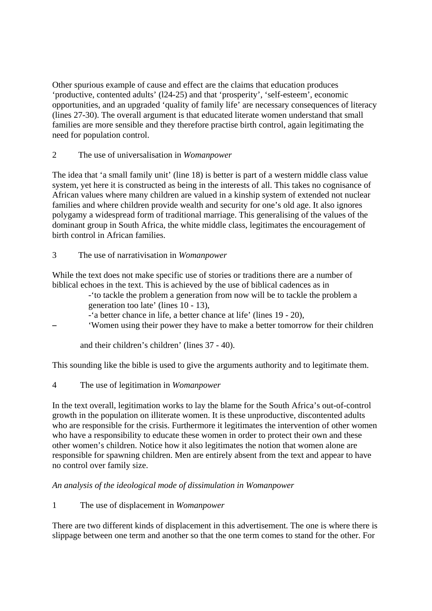Other spurious example of cause and effect are the claims that education produces 'productive, contented adults' (l24-25) and that 'prosperity', 'self-esteem', economic opportunities, and an upgraded 'quality of family life' are necessary consequences of literacy (lines 27-30). The overall argument is that educated literate women understand that small families are more sensible and they therefore practise birth control, again legitimating the need for population control.

2 The use of universalisation in *Womanpower*

The idea that 'a small family unit' (line 18) is better is part of a western middle class value system, yet here it is constructed as being in the interests of all. This takes no cognisance of African values where many children are valued in a kinship system of extended not nuclear families and where children provide wealth and security for one's old age. It also ignores polygamy a widespread form of traditional marriage. This generalising of the values of the dominant group in South Africa, the white middle class, legitimates the encouragement of birth control in African families.

3 The use of narrativisation in *Womanpower*

While the text does not make specific use of stories or traditions there are a number of biblical echoes in the text. This is achieved by the use of biblical cadences as in

-'to tackle the problem a generation from now will be to tackle the problem a generation too late' (lines 10 - 13),

- -'a better chance in life, a better chance at life' (lines 19 20),
- 'Women using their power they have to make a better tomorrow for their children

and their children's children' (lines 37 - 40).

This sounding like the bible is used to give the arguments authority and to legitimate them.

4 The use of legitimation in *Womanpower* 

In the text overall, legitimation works to lay the blame for the South Africa's out-of-control growth in the population on illiterate women. It is these unproductive, discontented adults who are responsible for the crisis. Furthermore it legitimates the intervention of other women who have a responsibility to educate these women in order to protect their own and these other women's children. Notice how it also legitimates the notion that women alone are responsible for spawning children. Men are entirely absent from the text and appear to have no control over family size.

*An analysis of the ideological mode of dissimulation in Womanpower* 

1 The use of displacement in *Womanpower*

There are two different kinds of displacement in this advertisement. The one is where there is slippage between one term and another so that the one term comes to stand for the other. For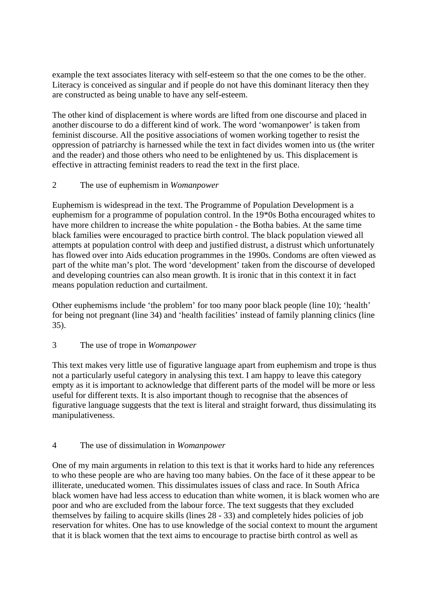example the text associates literacy with self-esteem so that the one comes to be the other. Literacy is conceived as singular and if people do not have this dominant literacy then they are constructed as being unable to have any self-esteem.

The other kind of displacement is where words are lifted from one discourse and placed in another discourse to do a different kind of work. The word 'womanpower' is taken from feminist discourse. All the positive associations of women working together to resist the oppression of patriarchy is harnessed while the text in fact divides women into us (the writer and the reader) and those others who need to be enlightened by us. This displacement is effective in attracting feminist readers to read the text in the first place.

## 2 The use of euphemism in *Womanpower*

Euphemism is widespread in the text. The Programme of Population Development is a euphemism for a programme of population control. In the 19\*0s Botha encouraged whites to have more children to increase the white population - the Botha babies. At the same time black families were encouraged to practice birth control. The black population viewed all attempts at population control with deep and justified distrust, a distrust which unfortunately has flowed over into Aids education programmes in the 1990s. Condoms are often viewed as part of the white man's plot. The word 'development' taken from the discourse of developed and developing countries can also mean growth. It is ironic that in this context it in fact means population reduction and curtailment.

Other euphemisms include 'the problem' for too many poor black people (line 10); 'health' for being not pregnant (line 34) and 'health facilities' instead of family planning clinics (line 35).

## 3 The use of trope in *Womanpower*

This text makes very little use of figurative language apart from euphemism and trope is thus not a particularly useful category in analysing this text. I am happy to leave this category empty as it is important to acknowledge that different parts of the model will be more or less useful for different texts. It is also important though to recognise that the absences of figurative language suggests that the text is literal and straight forward, thus dissimulating its manipulativeness.

## 4 The use of dissimulation in *Womanpower*

One of my main arguments in relation to this text is that it works hard to hide any references to who these people are who are having too many babies. On the face of it these appear to be illiterate, uneducated women. This dissimulates issues of class and race. In South Africa black women have had less access to education than white women, it is black women who are poor and who are excluded from the labour force. The text suggests that they excluded themselves by failing to acquire skills (lines 28 - 33) and completely hides policies of job reservation for whites. One has to use knowledge of the social context to mount the argument that it is black women that the text aims to encourage to practise birth control as well as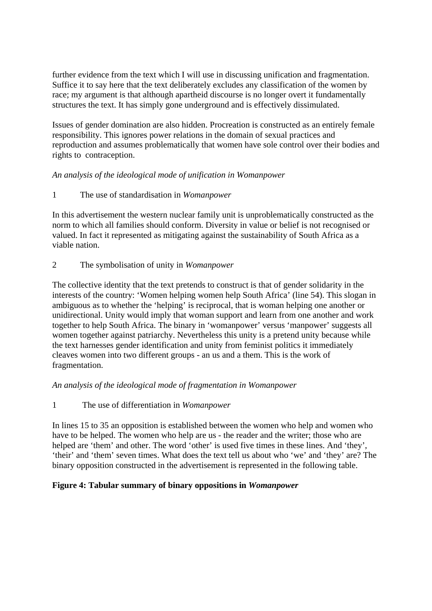further evidence from the text which I will use in discussing unification and fragmentation. Suffice it to say here that the text deliberately excludes any classification of the women by race; my argument is that although apartheid discourse is no longer overt it fundamentally structures the text. It has simply gone underground and is effectively dissimulated.

Issues of gender domination are also hidden. Procreation is constructed as an entirely female responsibility. This ignores power relations in the domain of sexual practices and reproduction and assumes problematically that women have sole control over their bodies and rights to contraception.

## *An analysis of the ideological mode of unification in Womanpower*

1 The use of standardisation in *Womanpower*

In this advertisement the western nuclear family unit is unproblematically constructed as the norm to which all families should conform. Diversity in value or belief is not recognised or valued. In fact it represented as mitigating against the sustainability of South Africa as a viable nation.

2 The symbolisation of unity in *Womanpower* 

The collective identity that the text pretends to construct is that of gender solidarity in the interests of the country: 'Women helping women help South Africa' (line 54). This slogan in ambiguous as to whether the 'helping' is reciprocal, that is woman helping one another or unidirectional. Unity would imply that woman support and learn from one another and work together to help South Africa. The binary in 'womanpower' versus 'manpower' suggests all women together against patriarchy. Nevertheless this unity is a pretend unity because while the text harnesses gender identification and unity from feminist politics it immediately cleaves women into two different groups - an us and a them. This is the work of fragmentation.

## *An analysis of the ideological mode of fragmentation in Womanpower*

1 The use of differentiation in *Womanpower*

In lines 15 to 35 an opposition is established between the women who help and women who have to be helped. The women who help are us - the reader and the writer; those who are helped are 'them' and other. The word 'other' is used five times in these lines. And 'they', 'their' and 'them' seven times. What does the text tell us about who 'we' and 'they' are? The binary opposition constructed in the advertisement is represented in the following table.

## **Figure 4: Tabular summary of binary oppositions in** *Womanpower*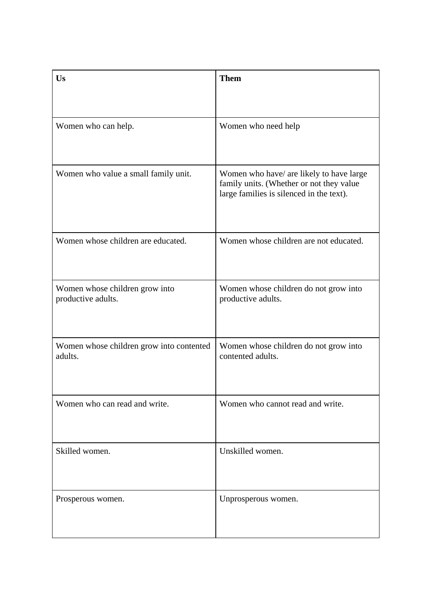| <b>Us</b>                                            | <b>Them</b>                                                                                                                      |
|------------------------------------------------------|----------------------------------------------------------------------------------------------------------------------------------|
| Women who can help.                                  | Women who need help                                                                                                              |
| Women who value a small family unit.                 | Women who have/ are likely to have large<br>family units. (Whether or not they value<br>large families is silenced in the text). |
| Women whose children are educated.                   | Women whose children are not educated.                                                                                           |
| Women whose children grow into<br>productive adults. | Women whose children do not grow into<br>productive adults.                                                                      |
| Women whose children grow into contented<br>adults.  | Women whose children do not grow into<br>contented adults.                                                                       |
| Women who can read and write.                        | Women who cannot read and write.                                                                                                 |
| Skilled women.                                       | Unskilled women.                                                                                                                 |
| Prosperous women.                                    | Unprosperous women.                                                                                                              |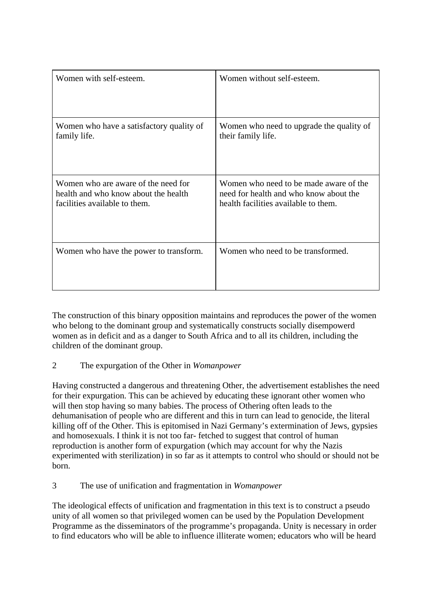| Women with self-esteem.                  | Women without self-esteem.               |
|------------------------------------------|------------------------------------------|
| Women who have a satisfactory quality of | Women who need to upgrade the quality of |
| family life.                             | their family life.                       |
| Women who are aware of the need for      | Women who need to be made aware of the   |
| health and who know about the health     | need for health and who know about the   |
| facilities available to them.            | health facilities available to them.     |
| Women who have the power to transform.   | Women who need to be transformed.        |

The construction of this binary opposition maintains and reproduces the power of the women who belong to the dominant group and systematically constructs socially disempowerd women as in deficit and as a danger to South Africa and to all its children, including the children of the dominant group.

2 The expurgation of the Other in *Womanpower* 

Having constructed a dangerous and threatening Other, the advertisement establishes the need for their expurgation. This can be achieved by educating these ignorant other women who will then stop having so many babies. The process of Othering often leads to the dehumanisation of people who are different and this in turn can lead to genocide, the literal killing off of the Other. This is epitomised in Nazi Germany's extermination of Jews, gypsies and homosexuals. I think it is not too far- fetched to suggest that control of human reproduction is another form of expurgation (which may account for why the Nazis experimented with sterilization) in so far as it attempts to control who should or should not be born.

3 The use of unification and fragmentation in *Womanpower*

The ideological effects of unification and fragmentation in this text is to construct a pseudo unity of all women so that privileged women can be used by the Population Development Programme as the disseminators of the programme's propaganda. Unity is necessary in order to find educators who will be able to influence illiterate women; educators who will be heard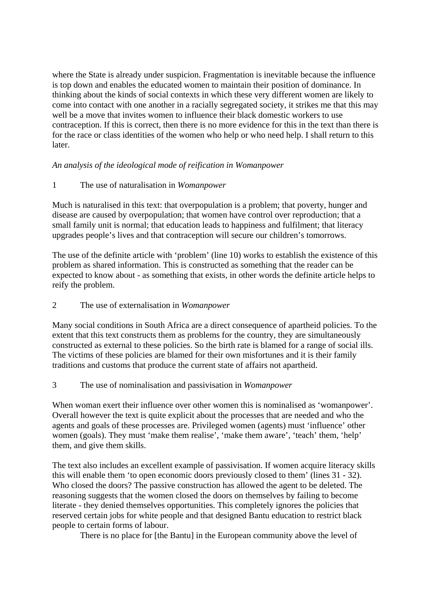where the State is already under suspicion. Fragmentation is inevitable because the influence is top down and enables the educated women to maintain their position of dominance. In thinking about the kinds of social contexts in which these very different women are likely to come into contact with one another in a racially segregated society, it strikes me that this may well be a move that invites women to influence their black domestic workers to use contraception. If this is correct, then there is no more evidence for this in the text than there is for the race or class identities of the women who help or who need help. I shall return to this later.

## *An analysis of the ideological mode of reification in Womanpower*

## 1 The use of naturalisation in *Womanpower*

Much is naturalised in this text: that overpopulation is a problem; that poverty, hunger and disease are caused by overpopulation; that women have control over reproduction; that a small family unit is normal; that education leads to happiness and fulfilment; that literacy upgrades people's lives and that contraception will secure our children's tomorrows.

The use of the definite article with 'problem' (line 10) works to establish the existence of this problem as shared information. This is constructed as something that the reader can be expected to know about - as something that exists, in other words the definite article helps to reify the problem.

## 2 The use of externalisation in *Womanpower*

Many social conditions in South Africa are a direct consequence of apartheid policies. To the extent that this text constructs them as problems for the country, they are simultaneously constructed as external to these policies. So the birth rate is blamed for a range of social ills. The victims of these policies are blamed for their own misfortunes and it is their family traditions and customs that produce the current state of affairs not apartheid.

## 3 The use of nominalisation and passivisation in *Womanpower*

When woman exert their influence over other women this is nominalised as 'womanpower'. Overall however the text is quite explicit about the processes that are needed and who the agents and goals of these processes are. Privileged women (agents) must 'influence' other women (goals). They must 'make them realise', 'make them aware', 'teach' them, 'help' them, and give them skills.

The text also includes an excellent example of passivisation. If women acquire literacy skills this will enable them 'to open economic doors previously closed to them' (lines 31 - 32). Who closed the doors? The passive construction has allowed the agent to be deleted. The reasoning suggests that the women closed the doors on themselves by failing to become literate - they denied themselves opportunities. This completely ignores the policies that reserved certain jobs for white people and that designed Bantu education to restrict black people to certain forms of labour.

There is no place for [the Bantu] in the European community above the level of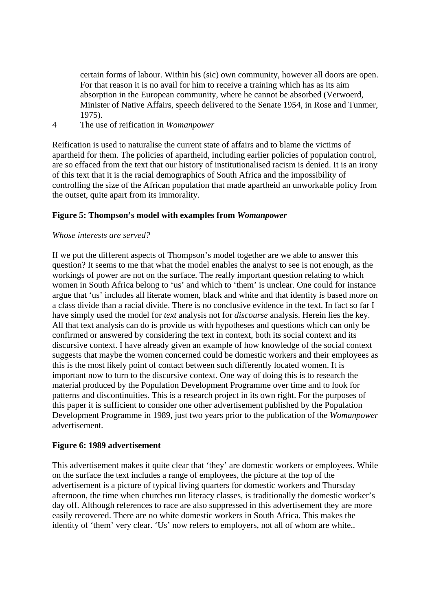certain forms of labour. Within his (sic) own community, however all doors are open. For that reason it is no avail for him to receive a training which has as its aim absorption in the European community, where he cannot be absorbed (Verwoerd, Minister of Native Affairs, speech delivered to the Senate 1954, in Rose and Tunmer, 1975).

4 The use of reification in *Womanpower*

Reification is used to naturalise the current state of affairs and to blame the victims of apartheid for them. The policies of apartheid, including earlier policies of population control, are so effaced from the text that our history of institutionalised racism is denied. It is an irony of this text that it is the racial demographics of South Africa and the impossibility of controlling the size of the African population that made apartheid an unworkable policy from the outset, quite apart from its immorality.

### **Figure 5: Thompson's model with examples from** *Womanpower*

### *Whose interests are served?*

If we put the different aspects of Thompson's model together are we able to answer this question? It seems to me that what the model enables the analyst to see is not enough, as the workings of power are not on the surface. The really important question relating to which women in South Africa belong to 'us' and which to 'them' is unclear. One could for instance argue that 'us' includes all literate women, black and white and that identity is based more on a class divide than a racial divide. There is no conclusive evidence in the text. In fact so far I have simply used the model for *text* analysis not for *discourse* analysis. Herein lies the key. All that text analysis can do is provide us with hypotheses and questions which can only be confirmed or answered by considering the text in context, both its social context and its discursive context. I have already given an example of how knowledge of the social context suggests that maybe the women concerned could be domestic workers and their employees as this is the most likely point of contact between such differently located women. It is important now to turn to the discursive context. One way of doing this is to research the material produced by the Population Development Programme over time and to look for patterns and discontinuities. This is a research project in its own right. For the purposes of this paper it is sufficient to consider one other advertisement published by the Population Development Programme in 1989, just two years prior to the publication of the *Womanpower*  advertisement.

### **Figure 6: 1989 advertisement**

This advertisement makes it quite clear that 'they' are domestic workers or employees. While on the surface the text includes a range of employees, the picture at the top of the advertisement is a picture of typical living quarters for domestic workers and Thursday afternoon, the time when churches run literacy classes, is traditionally the domestic worker's day off. Although references to race are also suppressed in this advertisement they are more easily recovered. There are no white domestic workers in South Africa. This makes the identity of 'them' very clear. 'Us' now refers to employers, not all of whom are white..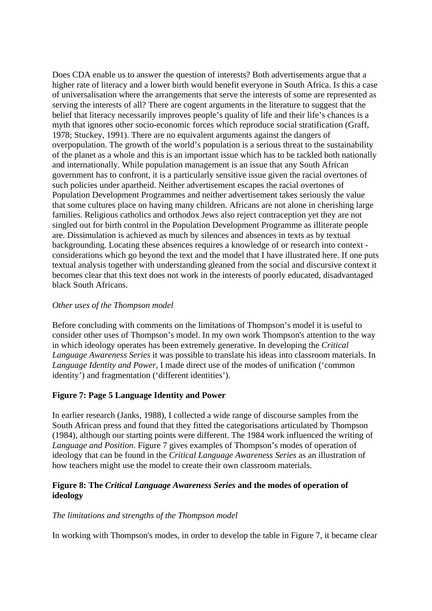Does CDA enable us to answer the question of interests? Both advertisements argue that a higher rate of literacy and a lower birth would benefit everyone in South Africa. Is this a case of universalisation where the arrangements that serve the interests of some are represented as serving the interests of all? There are cogent arguments in the literature to suggest that the belief that literacy necessarily improves people's quality of life and their life's chances is a myth that ignores other socio-economic forces which reproduce social stratification (Graff, 1978; Stuckey, 1991). There are no equivalent arguments against the dangers of overpopulation. The growth of the world's population is a serious threat to the sustainability of the planet as a whole and this is an important issue which has to be tackled both nationally and internationally. While population management is an issue that any South African government has to confront, it is a particularly sensitive issue given the racial overtones of such policies under apartheid. Neither advertisement escapes the racial overtones of Population Development Programmes and neither advertisement takes seriously the value that some cultures place on having many children. Africans are not alone in cherishing large families. Religious catholics and orthodox Jews also reject contraception yet they are not singled out for birth control in the Population Development Programme as illiterate people are. Dissimulation is achieved as much by silences and absences in texts as by textual backgrounding. Locating these absences requires a knowledge of or research into context considerations which go beyond the text and the model that I have illustrated here. If one puts textual analysis together with understanding gleaned from the social and discursive context it becomes clear that this text does not work in the interests of poorly educated, disadvantaged black South Africans.

### *Other uses of the Thompson model*

Before concluding with comments on the limitations of Thompson's model it is useful to consider other uses of Thompson's model. In my own work Thompson's attention to the way in which ideology operates has been extremely generative. In developing the *Critical Language Awareness Series* it was possible to translate his ideas into classroom materials. In *Language Identity and Power*, I made direct use of the modes of unification ('common identity') and fragmentation ('different identities').

## **Figure 7: Page 5 Language Identity and Power**

In earlier research (Janks, 1988), I collected a wide range of discourse samples from the South African press and found that they fitted the categorisations articulated by Thompson (1984), although our starting points were different. The 1984 work influenced the writing of *Language and Position*. Figure 7 gives examples of Thompson's modes of operation of ideology that can be found in the *Critical Language Awareness Series* as an illustration of how teachers might use the model to create their own classroom materials.

## **Figure 8: The** *Critical Language Awareness Series* **and the modes of operation of ideology**

### *The limitations and strengths of the Thompson model*

In working with Thompson's modes, in order to develop the table in Figure 7, it became clear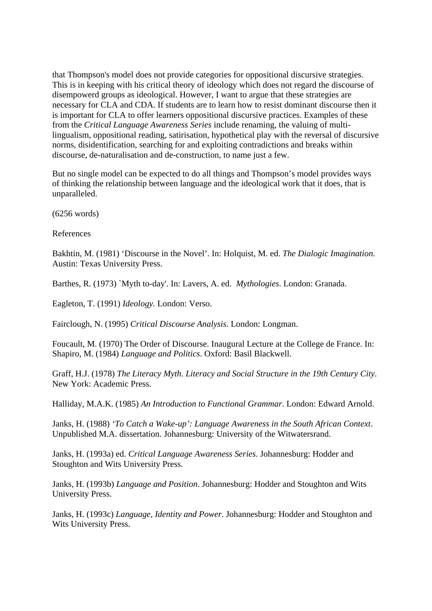that Thompson's model does not provide categories for oppositional discursive strategies. This is in keeping with his critical theory of ideology which does not regard the discourse of disempowerd groups as ideological. However, I want to argue that these strategies are necessary for CLA and CDA. If students are to learn how to resist dominant discourse then it is important for CLA to offer learners oppositional discursive practices. Examples of these from the *Critical Language Awareness Series* include renaming, the valuing of multilingualism, oppositional reading, satirisation, hypothetical play with the reversal of discursive norms, disidentification, searching for and exploiting contradictions and breaks within discourse, de-naturalisation and de-construction, to name just a few.

But no single model can be expected to do all things and Thompson's model provides ways of thinking the relationship between language and the ideological work that it does, that is unparalleled.

(6256 words)

References

Bakhtin, M. (1981) 'Discourse in the Novel'. In: Holquist, M. ed. *The Dialogic Imagination.* Austin: Texas University Press.

Barthes, R. (1973) `Myth to-day'. In: Lavers, A. ed. *Mythologies*. London: Granada.

Eagleton, T. (1991) *Ideology.* London: Verso.

Fairclough, N. (1995) *Critical Discourse Analysis*. London: Longman.

Foucault, M. (1970) The Order of Discourse. Inaugural Lecture at the College de France. In: Shapiro, M. (1984) *Language and Politics*. Oxford: Basil Blackwell.

Graff, H.J. (1978) *The Literacy Myth. Literacy and Social Structure in the 19th Century City*. New York: Academic Press.

Halliday, M.A.K. (1985) *An Introduction to Functional Grammar*. London: Edward Arnold.

Janks, H. (1988) *'To Catch a Wake-up': Language Awareness in the South African Context*. Unpublished M.A. dissertation. Johannesburg: University of the Witwatersrand.

Janks, H. (1993a) ed. *Critical Language Awareness Series*. Johannesburg: Hodder and Stoughton and Wits University Press.

Janks, H. (1993b) *Language and Position*. Johannesburg: Hodder and Stoughton and Wits University Press.

Janks, H. (1993c) *Language, Identity and Power*. Johannesburg: Hodder and Stoughton and Wits University Press.